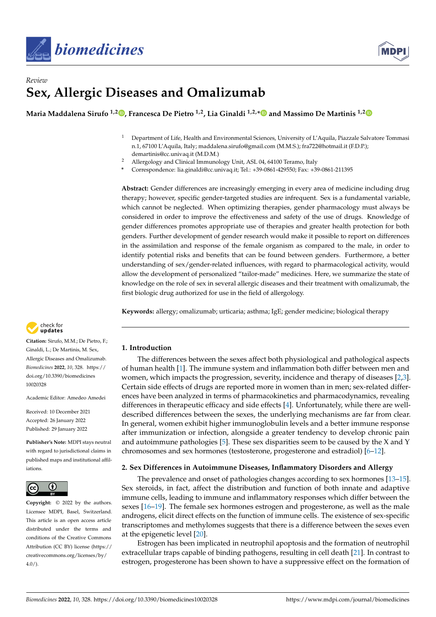



# *Review* **Sex, Allergic Diseases and Omalizumab**

**Maria Maddalena Sirufo 1,2 [,](https://orcid.org/0000-0003-1006-7121) Francesca De Pietro 1,2, Lia Ginaldi 1,2,[\\*](https://orcid.org/0000-0003-1841-2807) and Massimo De Martinis 1,[2](https://orcid.org/0000-0003-4253-1312)**

- <sup>1</sup> Department of Life, Health and Environmental Sciences, University of L'Aquila, Piazzale Salvatore Tommasi n.1, 67100 L'Aquila, Italy; maddalena.sirufo@gmail.com (M.M.S.); fra722@hotmail.it (F.D.P.); demartinis@cc.univaq.it (M.D.M.)
- <sup>2</sup> Allergology and Clinical Immunology Unit, ASL 04, 64100 Teramo, Italy
- **\*** Correspondence: lia.ginaldi@cc.univaq.it; Tel.: +39-0861-429550; Fax: +39-0861-211395

**Abstract:** Gender differences are increasingly emerging in every area of medicine including drug therapy; however, specific gender-targeted studies are infrequent. Sex is a fundamental variable, which cannot be neglected. When optimizing therapies, gender pharmacology must always be considered in order to improve the effectiveness and safety of the use of drugs. Knowledge of gender differences promotes appropriate use of therapies and greater health protection for both genders. Further development of gender research would make it possible to report on differences in the assimilation and response of the female organism as compared to the male, in order to identify potential risks and benefits that can be found between genders. Furthermore, a better understanding of sex/gender-related influences, with regard to pharmacological activity, would allow the development of personalized "tailor-made" medicines. Here, we summarize the state of knowledge on the role of sex in several allergic diseases and their treatment with omalizumab, the first biologic drug authorized for use in the field of allergology.

**Keywords:** allergy; omalizumab; urticaria; asthma; IgE; gender medicine; biological therapy



**Citation:** Sirufo, M.M.; De Pietro, F.; Ginaldi, L.; De Martinis, M. Sex, Allergic Diseases and Omalizumab. *Biomedicines* **2022**, *10*, 328. [https://](https://doi.org/10.3390/biomedicines10020328) [doi.org/10.3390/biomedicines](https://doi.org/10.3390/biomedicines10020328) [10020328](https://doi.org/10.3390/biomedicines10020328)

Academic Editor: Amedeo Amedei

Received: 10 December 2021 Accepted: 26 January 2022 Published: 29 January 2022

**Publisher's Note:** MDPI stays neutral with regard to jurisdictional claims in published maps and institutional affiliations.



**Copyright:** © 2022 by the authors. Licensee MDPI, Basel, Switzerland. This article is an open access article distributed under the terms and conditions of the Creative Commons Attribution (CC BY) license [\(https://](https://creativecommons.org/licenses/by/4.0/) [creativecommons.org/licenses/by/](https://creativecommons.org/licenses/by/4.0/)  $4.0/$ ).

## **1. Introduction**

The differences between the sexes affect both physiological and pathological aspects of human health [\[1\]](#page-8-0). The immune system and inflammation both differ between men and women, which impacts the progression, severity, incidence and therapy of diseases [\[2,](#page-8-1)[3\]](#page-8-2). Certain side effects of drugs are reported more in women than in men; sex-related differences have been analyzed in terms of pharmacokinetics and pharmacodynamics, revealing differences in therapeutic efficacy and side effects [\[4\]](#page-8-3). Unfortunately, while there are welldescribed differences between the sexes, the underlying mechanisms are far from clear. In general, women exhibit higher immunoglobulin levels and a better immune response after immunization or infection, alongside a greater tendency to develop chronic pain and autoimmune pathologies [\[5\]](#page-8-4). These sex disparities seem to be caused by the X and Y chromosomes and sex hormones (testosterone, progesterone and estradiol) [\[6–](#page-8-5)[12\]](#page-8-6).

## **2. Sex Differences in Autoimmune Diseases, Inflammatory Disorders and Allergy**

The prevalence and onset of pathologies changes according to sex hormones [\[13](#page-8-7)[–15\]](#page-8-8). Sex steroids, in fact, affect the distribution and function of both innate and adaptive immune cells, leading to immune and inflammatory responses which differ between the sexes [\[16](#page-8-9)[–19\]](#page-8-10). The female sex hormones estrogen and progesterone, as well as the male androgens, elicit direct effects on the function of immune cells. The existence of sex-specific transcriptomes and methylomes suggests that there is a difference between the sexes even at the epigenetic level [\[20\]](#page-8-11).

Estrogen has been implicated in neutrophil apoptosis and the formation of neutrophil extracellular traps capable of binding pathogens, resulting in cell death [\[21\]](#page-8-12). In contrast to estrogen, progesterone has been shown to have a suppressive effect on the formation of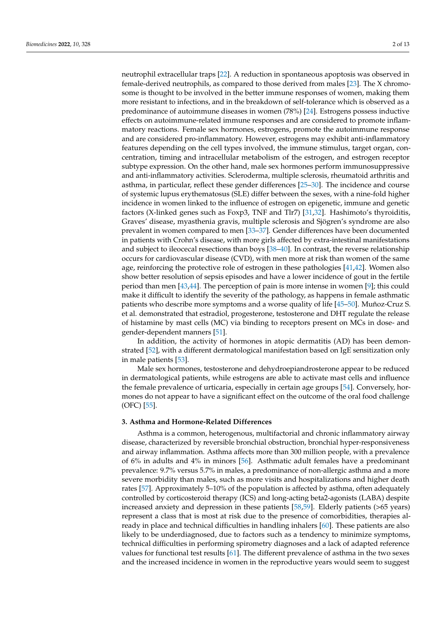neutrophil extracellular traps [\[22\]](#page-8-13). A reduction in spontaneous apoptosis was observed in female-derived neutrophils, as compared to those derived from males [\[23\]](#page-8-14). The X chromosome is thought to be involved in the better immune responses of women, making them more resistant to infections, and in the breakdown of self-tolerance which is observed as a predominance of autoimmune diseases in women (78%) [\[24\]](#page-8-15). Estrogens possess inductive effects on autoimmune-related immune responses and are considered to promote inflammatory reactions. Female sex hormones, estrogens, promote the autoimmune response and are considered pro-inflammatory. However, estrogens may exhibit anti-inflammatory features depending on the cell types involved, the immune stimulus, target organ, concentration, timing and intracellular metabolism of the estrogen, and estrogen receptor subtype expression. On the other hand, male sex hormones perform immunosuppressive and anti-inflammatory activities. Scleroderma, multiple sclerosis, rheumatoid arthritis and asthma, in particular, reflect these gender differences [\[25](#page-8-16)[–30\]](#page-9-0). The incidence and course of systemic lupus erythematosus (SLE) differ between the sexes, with a nine-fold higher incidence in women linked to the influence of estrogen on epigenetic, immune and genetic factors (X-linked genes such as Foxp3, TNF and Tlr7) [\[31,](#page-9-1)[32\]](#page-9-2). Hashimoto's thyroiditis, Graves' disease, myasthenia gravis, multiple sclerosis and Sjögren's syndrome are also prevalent in women compared to men [\[33–](#page-9-3)[37\]](#page-9-4). Gender differences have been documented in patients with Crohn's disease, with more girls affected by extra-intestinal manifestations and subject to ileocecal resections than boys [\[38–](#page-9-5)[40\]](#page-9-6). In contrast, the reverse relationship occurs for cardiovascular disease (CVD), with men more at risk than women of the same age, reinforcing the protective role of estrogen in these pathologies [\[41,](#page-9-7)[42\]](#page-9-8). Women also show better resolution of sepsis episodes and have a lower incidence of gout in the fertile period than men [\[43,](#page-9-9)[44\]](#page-9-10). The perception of pain is more intense in women [\[9\]](#page-8-17); this could make it difficult to identify the severity of the pathology, as happens in female asthmatic patients who describe more symptoms and a worse quality of life [\[45–](#page-9-11)[50\]](#page-9-12). Muñoz-Cruz S. et al. demonstrated that estradiol, progesterone, testosterone and DHT regulate the release of histamine by mast cells (MC) via binding to receptors present on MCs in dose- and gender-dependent manners [\[51\]](#page-9-13).

In addition, the activity of hormones in atopic dermatitis (AD) has been demonstrated [\[52\]](#page-9-14), with a different dermatological manifestation based on IgE sensitization only in male patients [\[53\]](#page-9-15).

Male sex hormones, testosterone and dehydroepiandrosterone appear to be reduced in dermatological patients, while estrogens are able to activate mast cells and influence the female prevalence of urticaria, especially in certain age groups [\[54\]](#page-9-16). Conversely, hormones do not appear to have a significant effect on the outcome of the oral food challenge (OFC) [\[55\]](#page-9-17).

#### **3. Asthma and Hormone-Related Differences**

Asthma is a common, heterogenous, multifactorial and chronic inflammatory airway disease, characterized by reversible bronchial obstruction, bronchial hyper-responsiveness and airway inflammation. Asthma affects more than 300 million people, with a prevalence of 6% in adults and 4% in minors [\[56\]](#page-9-18). Asthmatic adult females have a predominant prevalence: 9.7% versus 5.7% in males, a predominance of non-allergic asthma and a more severe morbidity than males, such as more visits and hospitalizations and higher death rates [\[57\]](#page-9-19). Approximately 5–10% of the population is affected by asthma, often adequately controlled by corticosteroid therapy (ICS) and long-acting beta2-agonists (LABA) despite increased anxiety and depression in these patients [\[58,](#page-10-0)[59\]](#page-10-1). Elderly patients (>65 years) represent a class that is most at risk due to the presence of comorbidities, therapies already in place and technical difficulties in handling inhalers [\[60\]](#page-10-2). These patients are also likely to be underdiagnosed, due to factors such as a tendency to minimize symptoms, technical difficulties in performing spirometry diagnoses and a lack of adapted reference values for functional test results [\[61\]](#page-10-3). The different prevalence of asthma in the two sexes and the increased incidence in women in the reproductive years would seem to suggest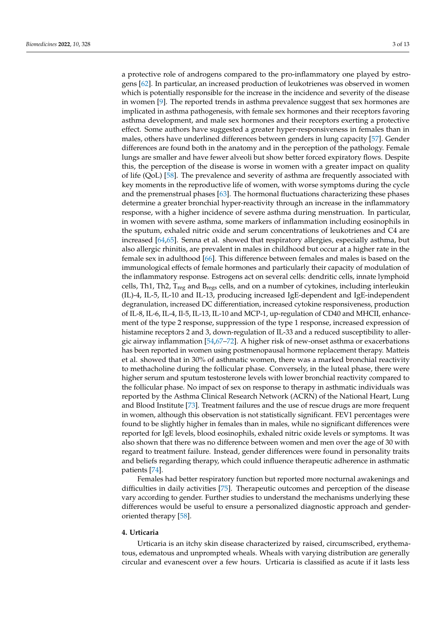a protective role of androgens compared to the pro-inflammatory one played by estrogens [\[62\]](#page-10-4). In particular, an increased production of leukotrienes was observed in women which is potentially responsible for the increase in the incidence and severity of the disease in women [\[9\]](#page-8-17). The reported trends in asthma prevalence suggest that sex hormones are implicated in asthma pathogenesis, with female sex hormones and their receptors favoring asthma development, and male sex hormones and their receptors exerting a protective effect. Some authors have suggested a greater hyper-responsiveness in females than in males, others have underlined differences between genders in lung capacity [\[57\]](#page-9-19). Gender differences are found both in the anatomy and in the perception of the pathology. Female lungs are smaller and have fewer alveoli but show better forced expiratory flows. Despite this, the perception of the disease is worse in women with a greater impact on quality of life (QoL) [\[58\]](#page-10-0). The prevalence and severity of asthma are frequently associated with key moments in the reproductive life of women, with worse symptoms during the cycle and the premenstrual phases [\[63\]](#page-10-5). The hormonal fluctuations characterizing these phases determine a greater bronchial hyper-reactivity through an increase in the inflammatory response, with a higher incidence of severe asthma during menstruation. In particular, in women with severe asthma, some markers of inflammation including eosinophils in the sputum, exhaled nitric oxide and serum concentrations of leukotrienes and C4 are increased [\[64,](#page-10-6)[65\]](#page-10-7). Senna et al. showed that respiratory allergies, especially asthma, but also allergic rhinitis, are prevalent in males in childhood but occur at a higher rate in the female sex in adulthood [\[66\]](#page-10-8). This difference between females and males is based on the immunological effects of female hormones and particularly their capacity of modulation of the inflammatory response. Estrogens act on several cells: dendritic cells, innate lymphoid cells, Th1, Th2,  $T_{reg}$  and  $B_{regs}$  cells, and on a number of cytokines, including interleukin (IL)-4, IL-5, IL-10 and IL-13, producing increased IgE-dependent and IgE-independent degranulation, increased DC differentiation, increased cytokine responsiveness, production of IL-8, IL-6, IL-4, Il-5, IL-13, IL-10 and MCP-1, up-regulation of CD40 and MHCII, enhancement of the type 2 response, suppression of the type 1 response, increased expression of histamine receptors 2 and 3, down-regulation of IL-33 and a reduced susceptibility to allergic airway inflammation [\[54](#page-9-16)[,67–](#page-10-9)[72\]](#page-10-10). A higher risk of new-onset asthma or exacerbations has been reported in women using postmenopausal hormone replacement therapy. Matteis et al. showed that in 30% of asthmatic women, there was a marked bronchial reactivity to methacholine during the follicular phase. Conversely, in the luteal phase, there were higher serum and sputum testosterone levels with lower bronchial reactivity compared to the follicular phase. No impact of sex on response to therapy in asthmatic individuals was reported by the Asthma Clinical Research Network (ACRN) of the National Heart, Lung and Blood Institute [\[73\]](#page-10-11). Treatment failures and the use of rescue drugs are more frequent in women, although this observation is not statistically significant. FEV1 percentages were found to be slightly higher in females than in males, while no significant differences were reported for IgE levels, blood eosinophils, exhaled nitric oxide levels or symptoms. It was also shown that there was no difference between women and men over the age of 30 with regard to treatment failure. Instead, gender differences were found in personality traits and beliefs regarding therapy, which could influence therapeutic adherence in asthmatic patients [\[74\]](#page-10-12).

Females had better respiratory function but reported more nocturnal awakenings and difficulties in daily activities [\[75\]](#page-10-13). Therapeutic outcomes and perception of the disease vary according to gender. Further studies to understand the mechanisms underlying these differences would be useful to ensure a personalized diagnostic approach and genderoriented therapy [\[58\]](#page-10-0).

## **4. Urticaria**

Urticaria is an itchy skin disease characterized by raised, circumscribed, erythematous, edematous and unprompted wheals. Wheals with varying distribution are generally circular and evanescent over a few hours. Urticaria is classified as acute if it lasts less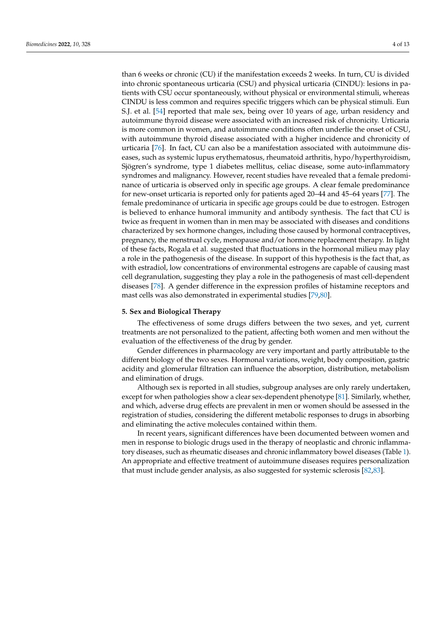than 6 weeks or chronic (CU) if the manifestation exceeds 2 weeks. In turn, CU is divided into chronic spontaneous urticaria (CSU) and physical urticaria (CINDU): lesions in patients with CSU occur spontaneously, without physical or environmental stimuli, whereas CINDU is less common and requires specific triggers which can be physical stimuli. Eun S.J. et al. [\[54\]](#page-9-16) reported that male sex, being over 10 years of age, urban residency and autoimmune thyroid disease were associated with an increased risk of chronicity. Urticaria is more common in women, and autoimmune conditions often underlie the onset of CSU, with autoimmune thyroid disease associated with a higher incidence and chronicity of urticaria [\[76\]](#page-10-14). In fact, CU can also be a manifestation associated with autoimmune diseases, such as systemic lupus erythematosus, rheumatoid arthritis, hypo/hyperthyroidism, Sjögren's syndrome, type 1 diabetes mellitus, celiac disease, some auto-inflammatory syndromes and malignancy. However, recent studies have revealed that a female predominance of urticaria is observed only in specific age groups. A clear female predominance for new-onset urticaria is reported only for patients aged 20–44 and 45–64 years [\[77\]](#page-10-15). The female predominance of urticaria in specific age groups could be due to estrogen. Estrogen is believed to enhance humoral immunity and antibody synthesis. The fact that CU is twice as frequent in women than in men may be associated with diseases and conditions characterized by sex hormone changes, including those caused by hormonal contraceptives, pregnancy, the menstrual cycle, menopause and/or hormone replacement therapy. In light of these facts, Rogala et al. suggested that fluctuations in the hormonal milieu may play a role in the pathogenesis of the disease. In support of this hypothesis is the fact that, as with estradiol, low concentrations of environmental estrogens are capable of causing mast cell degranulation, suggesting they play a role in the pathogenesis of mast cell-dependent diseases [\[78\]](#page-10-16). A gender difference in the expression profiles of histamine receptors and mast cells was also demonstrated in experimental studies [\[79,](#page-10-17)[80\]](#page-10-18).

#### **5. Sex and Biological Therapy**

The effectiveness of some drugs differs between the two sexes, and yet, current treatments are not personalized to the patient, affecting both women and men without the evaluation of the effectiveness of the drug by gender.

Gender differences in pharmacology are very important and partly attributable to the different biology of the two sexes. Hormonal variations, weight, body composition, gastric acidity and glomerular filtration can influence the absorption, distribution, metabolism and elimination of drugs.

Although sex is reported in all studies, subgroup analyses are only rarely undertaken, except for when pathologies show a clear sex-dependent phenotype [\[81\]](#page-10-19). Similarly, whether, and which, adverse drug effects are prevalent in men or women should be assessed in the registration of studies, considering the different metabolic responses to drugs in absorbing and eliminating the active molecules contained within them.

In recent years, significant differences have been documented between women and men in response to biologic drugs used in the therapy of neoplastic and chronic inflammatory diseases, such as rheumatic diseases and chronic inflammatory bowel diseases (Table [1\)](#page-4-0). An appropriate and effective treatment of autoimmune diseases requires personalization that must include gender analysis, as also suggested for systemic sclerosis [\[82](#page-10-20)[,83\]](#page-11-0).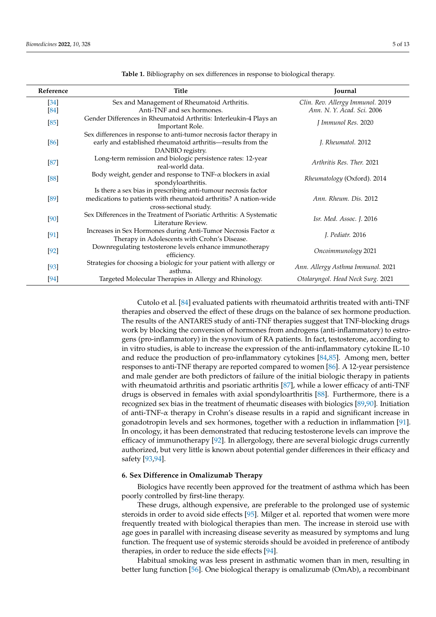| Reference | <b>Title</b>                                                                                                                                                 | Journal                           |
|-----------|--------------------------------------------------------------------------------------------------------------------------------------------------------------|-----------------------------------|
| $[34]$    | Sex and Management of Rheumatoid Arthritis.                                                                                                                  | Clin. Rev. Allergy Immunol. 2019  |
| $[84]$    | Anti-TNF and sex hormones.                                                                                                                                   | Ann. N. Y. Acad. Sci. 2006        |
| $[85]$    | Gender Differences in Rheumatoid Arthritis: Interleukin-4 Plays an<br>Important Role.                                                                        | J Immunol Res. 2020               |
| $[86]$    | Sex differences in response to anti-tumor necrosis factor therapy in<br>early and established rheumatoid arthritis-results from the<br>DANBIO registry.      | J. Rheumatol. 2012                |
| $[87]$    | Long-term remission and biologic persistence rates: 12-year<br>real-world data.                                                                              | Arthritis Res. Ther. 2021         |
| [88]      | Body weight, gender and response to TNF- $\alpha$ blockers in axial<br>spondyloarthritis.                                                                    | Rheumatology (Oxford). 2014       |
| [89]      | Is there a sex bias in prescribing anti-tumour necrosis factor<br>medications to patients with rheumatoid arthritis? A nation-wide<br>cross-sectional study. | Ann. Rheum. Dis. 2012             |
| [90]      | Sex Differences in the Treatment of Psoriatic Arthritis: A Systematic<br>Literature Review.                                                                  | Isr. Med. Assoc. J. 2016          |
| $[91]$    | Increases in Sex Hormones during Anti-Tumor Necrosis Factor $\alpha$<br>Therapy in Adolescents with Crohn's Disease.                                         | J. Pediatr. 2016                  |
| $[92]$    | Downregulating testosterone levels enhance immunotherapy<br>efficiency.                                                                                      | Oncoimmunology 2021               |
| $[93]$    | Strategies for choosing a biologic for your patient with allergy or<br>asthma.                                                                               | Ann. Allergy Asthma Immunol. 2021 |
| $[94]$    | Targeted Molecular Therapies in Allergy and Rhinology.                                                                                                       | Otolaryngol. Head Neck Surg. 2021 |

<span id="page-4-0"></span>**Table 1.** Bibliography on sex differences in response to biological therapy.

Cutolo et al. [\[84\]](#page-11-1) evaluated patients with rheumatoid arthritis treated with anti-TNF therapies and observed the effect of these drugs on the balance of sex hormone production. The results of the ANTARES study of anti-TNF therapies suggest that TNF-blocking drugs work by blocking the conversion of hormones from androgens (anti-inflammatory) to estrogens (pro-inflammatory) in the synovium of RA patients. In fact, testosterone, according to in vitro studies, is able to increase the expression of the anti-inflammatory cytokine IL-10 and reduce the production of pro-inflammatory cytokines [\[84,](#page-11-1)[85\]](#page-11-2). Among men, better responses to anti-TNF therapy are reported compared to women [\[86\]](#page-11-3). A 12-year persistence and male gender are both predictors of failure of the initial biologic therapy in patients with rheumatoid arthritis and psoriatic arthritis [\[87\]](#page-11-4), while a lower efficacy of anti-TNF drugs is observed in females with axial spondyloarthritis [\[88\]](#page-11-5). Furthermore, there is a recognized sex bias in the treatment of rheumatic diseases with biologics [\[89](#page-11-6)[,90\]](#page-11-7). Initiation of anti-TNF- $\alpha$  therapy in Crohn's disease results in a rapid and significant increase in gonadotropin levels and sex hormones, together with a reduction in inflammation [\[91\]](#page-11-8). In oncology, it has been demonstrated that reducing testosterone levels can improve the efficacy of immunotherapy [\[92\]](#page-11-9). In allergology, there are several biologic drugs currently authorized, but very little is known about potential gender differences in their efficacy and safety [\[93,](#page-11-10)[94\]](#page-11-11).

#### **6. Sex Difference in Omalizumab Therapy**

Biologics have recently been approved for the treatment of asthma which has been poorly controlled by first-line therapy.

These drugs, although expensive, are preferable to the prolonged use of systemic steroids in order to avoid side effects [\[95\]](#page-11-12). Milger et al. reported that women were more frequently treated with biological therapies than men. The increase in steroid use with age goes in parallel with increasing disease severity as measured by symptoms and lung function. The frequent use of systemic steroids should be avoided in preference of antibody therapies, in order to reduce the side effects [\[94\]](#page-11-11).

Habitual smoking was less present in asthmatic women than in men, resulting in better lung function [\[56\]](#page-9-18). One biological therapy is omalizumab (OmAb), a recombinant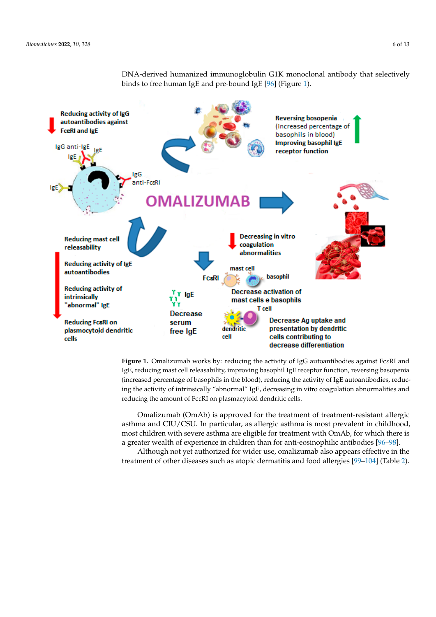

therapies, in order to reduce the side effects [94].

<span id="page-5-0"></span>DNA-derived humanized immunoglobulin G1K monoclonal antibody that selectively binds to free human IgE and pre-bound IgE [\[96\]](#page-11-13) (Figure [1\)](#page-5-0). binds to free human IgE and pre-bound IgE [96] (Figure 1). better lung function [56]. One biological therapy is omalizumab (OmAb), a recombinant DNA-derived humanized immunoglobulin G1K monoclonal antibody that selectively

Figure 1. Omalizumab works by: reducing the activity of IgG autoantibodies against FcεRI and IgE, reducing mast cell releasability, improving basophil IgE receptor function, reversing basopenia (increased percentage of basophils in the blood), reducing the activity of IgE autoantibodies, reducing the activity of intrinsically "abnormal" IgE, decreasing in vitro coagulation abnormalities and in the activity of intrinsically "abnormal" IgE, decreasing in vitro coagulation abnormalities and ducing the amount of FcεRI on plasmacytoid dendritic cells. reducing the amount of FcεRI on plasmacytoid dendritic cells.

Omalizumab (OmAb) is approved for the treatment of treatment-resistant allergic Omalizumab (OmAb) is approved for the treatment of treatment-resistant allergic asthma and CIU/CSU. In particular, as allergic asthma is most prevalent in childhood, asthma and CIU/CSU. In particular, as allergic asthma is most prevalent in childhood, most children with severe asthma are eligible for treatment with OmAb, for which there most children with severe asthma are eligible for treatment with OmAb, for which there is a greater wealth of experience in children than for anti-eosinophilic antibodies [\[96](#page-11-13)[–98\]](#page-11-14).

Although not yet authorized for wider use, omalizumab also appears effective in the Although not yet authorized for wider use, omalizumab also appears effective in the treatment of other diseases such as atopic dermatitis and food allergies [99–104] (Table 2). treatment of other diseases such as atopic dermatitis and food allergies [\[99](#page-11-15)[–104\]](#page-11-16) (Table [2\)](#page-6-0).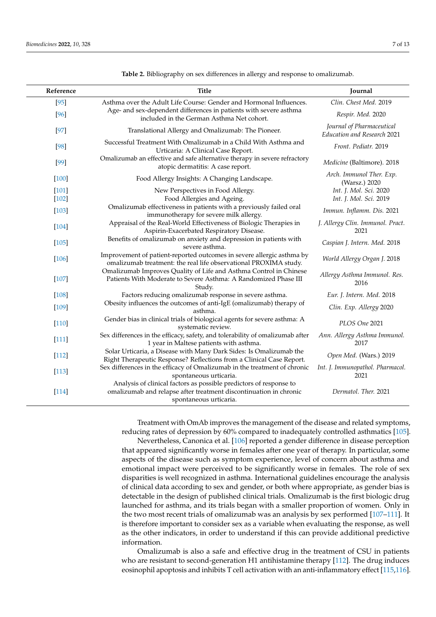| Reference          | <b>Title</b>                                                                                                                                                      | Journal                                                  |
|--------------------|-------------------------------------------------------------------------------------------------------------------------------------------------------------------|----------------------------------------------------------|
| $[95]$             | Asthma over the Adult Life Course: Gender and Hormonal Influences.                                                                                                | Clin. Chest Med. 2019                                    |
| $[96]$             | Age- and sex-dependent differences in patients with severe asthma<br>included in the German Asthma Net cohort.                                                    | Respir. Med. 2020                                        |
| $[97]$             | Translational Allergy and Omalizumab: The Pioneer.                                                                                                                | Journal of Pharmaceutical<br>Education and Research 2021 |
| $[98]$             | Successful Treatment With Omalizumab in a Child With Asthma and<br>Urticaria: A Clinical Case Report.                                                             | Front. Pediatr. 2019                                     |
| $[99]$             | Omalizumab an effective and safe alternative therapy in severe refractory<br>atopic dermatitis: A case report.                                                    | Medicine (Baltimore). 2018                               |
| $[100]$            | Food Allergy Insights: A Changing Landscape.                                                                                                                      | Arch. Immunol Ther. Exp.<br>(Warsz.) 2020                |
| $[101]$<br>$[102]$ | New Perspectives in Food Allergy.<br>Food Allergies and Ageing.                                                                                                   | Int. J. Mol. Sci. 2020<br>Int. J. Mol. Sci. 2019         |
| $[103]$            | Omalizumab effectiveness in patients with a previously failed oral<br>immunotherapy for severe milk allergy.                                                      | Immun. Inflamm. Dis. 2021                                |
| $[104]$            | Appraisal of the Real-World Effectiveness of Biologic Therapies in<br>Aspirin-Exacerbated Respiratory Disease.                                                    | J. Allergy Clin. Immunol. Pract.<br>2021                 |
| $[105]$            | Benefits of omalizumab on anxiety and depression in patients with<br>severe asthma.                                                                               | Caspian J. Intern. Med. 2018                             |
| $[106]$            | Improvement of patient-reported outcomes in severe allergic asthma by<br>omalizumab treatment: the real life observational PROXIMA study.                         | World Allergy Organ J. 2018                              |
| $[107]$            | Omalizumab Improves Quality of Life and Asthma Control in Chinese<br>Patients With Moderate to Severe Asthma: A Randomized Phase III<br>Study.                    | Allergy Asthma Immunol. Res.<br>2016                     |
| $[108]$            | Factors reducing omalizumab response in severe asthma.                                                                                                            | Eur. J. Intern. Med. 2018                                |
| $[109]$            | Obesity influences the outcomes of anti-IgE (omalizumab) therapy of<br>asthma.                                                                                    | Clin. Exp. Allergy 2020                                  |
| $[110]$            | Gender bias in clinical trials of biological agents for severe asthma: A<br>systematic review.                                                                    | PLOS One 2021                                            |
| $[111]$            | Sex differences in the efficacy, safety, and tolerability of omalizumab after<br>1 year in Maltese patients with asthma.                                          | Ann. Allergy Asthma Immunol.<br>2017                     |
| $[112]$            | Solar Urticaria, a Disease with Many Dark Sides: Is Omalizumab the<br>Right Therapeutic Response? Reflections from a Clinical Case Report.                        | Open Med. (Wars.) 2019                                   |
| $[113]$            | Sex differences in the efficacy of Omalizumab in the treatment of chronic<br>spontaneous urticaria.                                                               | Int. J. Immunopathol. Pharmacol.<br>2021                 |
| $[114]$            | Analysis of clinical factors as possible predictors of response to<br>omalizumab and relapse after treatment discontinuation in chronic<br>spontaneous urticaria. | Dermatol. Ther. 2021                                     |

<span id="page-6-0"></span>**Table 2.** Bibliography on sex differences in allergy and response to omalizumab.

Treatment with OmAb improves the management of the disease and related symptoms, reducing rates of depression by 60% compared to inadequately controlled asthmatics [\[105\]](#page-11-22).

Nevertheless, Canonica et al. [\[106\]](#page-11-23) reported a gender difference in disease perception that appeared significantly worse in females after one year of therapy. In particular, some aspects of the disease such as symptom experience, level of concern about asthma and emotional impact were perceived to be significantly worse in females. The role of sex disparities is well recognized in asthma. International guidelines encourage the analysis of clinical data according to sex and gender, or both where appropriate, as gender bias is detectable in the design of published clinical trials. Omalizumab is the first biologic drug launched for asthma, and its trials began with a smaller proportion of women. Only in the two most recent trials of omalizumab was an analysis by sex performed [\[107–](#page-11-24)[111\]](#page-12-2). It is therefore important to consider sex as a variable when evaluating the response, as well as the other indicators, in order to understand if this can provide additional predictive information.

Omalizumab is also a safe and effective drug in the treatment of CSU in patients who are resistant to second-generation H1 antihistamine therapy [\[112\]](#page-12-3). The drug induces eosinophil apoptosis and inhibits T cell activation with an anti-inflammatory effect [\[115](#page-12-6)[,116\]](#page-12-7).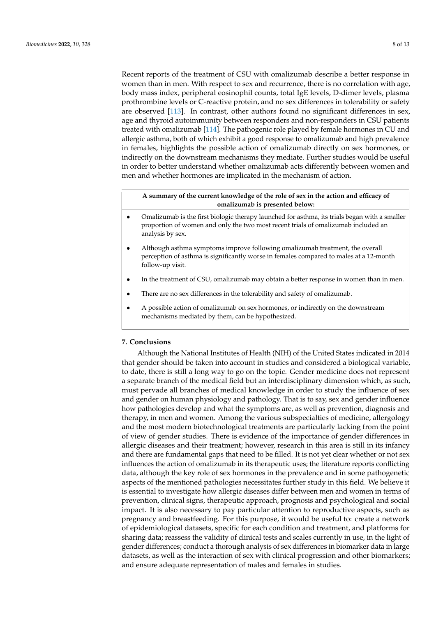Recent reports of the treatment of CSU with omalizumab describe a better response in women than in men. With respect to sex and recurrence, there is no correlation with age, body mass index, peripheral eosinophil counts, total IgE levels, D-dimer levels, plasma prothrombine levels or C-reactive protein, and no sex differences in tolerability or safety are observed [\[113\]](#page-12-4). In contrast, other authors found no significant differences in sex, age and thyroid autoimmunity between responders and non-responders in CSU patients treated with omalizumab [\[114\]](#page-12-5). The pathogenic role played by female hormones in CU and allergic asthma, both of which exhibit a good response to omalizumab and high prevalence in females, highlights the possible action of omalizumab directly on sex hormones, or indirectly on the downstream mechanisms they mediate. Further studies would be useful in order to better understand whether omalizumab acts differently between women and men and whether hormones are implicated in the mechanism of action.

## **A summary of the current knowledge of the role of sex in the action and efficacy of omalizumab is presented below:**

- Omalizumab is the first biologic therapy launched for asthma, its trials began with a smaller proportion of women and only the two most recent trials of omalizumab included an analysis by sex.
- Although asthma symptoms improve following omalizumab treatment, the overall perception of asthma is significantly worse in females compared to males at a 12-month follow-up visit.
- In the treatment of CSU, omalizumab may obtain a better response in women than in men.
- There are no sex differences in the tolerability and safety of omalizumab.
- A possible action of omalizumab on sex hormones, or indirectly on the downstream mechanisms mediated by them, can be hypothesized.

## **7. Conclusions**

Although the National Institutes of Health (NIH) of the United States indicated in 2014 that gender should be taken into account in studies and considered a biological variable, to date, there is still a long way to go on the topic. Gender medicine does not represent a separate branch of the medical field but an interdisciplinary dimension which, as such, must pervade all branches of medical knowledge in order to study the influence of sex and gender on human physiology and pathology. That is to say, sex and gender influence how pathologies develop and what the symptoms are, as well as prevention, diagnosis and therapy, in men and women. Among the various subspecialties of medicine, allergology and the most modern biotechnological treatments are particularly lacking from the point of view of gender studies. There is evidence of the importance of gender differences in allergic diseases and their treatment; however, research in this area is still in its infancy and there are fundamental gaps that need to be filled. It is not yet clear whether or not sex influences the action of omalizumab in its therapeutic uses; the literature reports conflicting data, although the key role of sex hormones in the prevalence and in some pathogenetic aspects of the mentioned pathologies necessitates further study in this field. We believe it is essential to investigate how allergic diseases differ between men and women in terms of prevention, clinical signs, therapeutic approach, prognosis and psychological and social impact. It is also necessary to pay particular attention to reproductive aspects, such as pregnancy and breastfeeding. For this purpose, it would be useful to: create a network of epidemiological datasets, specific for each condition and treatment, and platforms for sharing data; reassess the validity of clinical tests and scales currently in use, in the light of gender differences; conduct a thorough analysis of sex differences in biomarker data in large datasets, as well as the interaction of sex with clinical progression and other biomarkers; and ensure adequate representation of males and females in studies.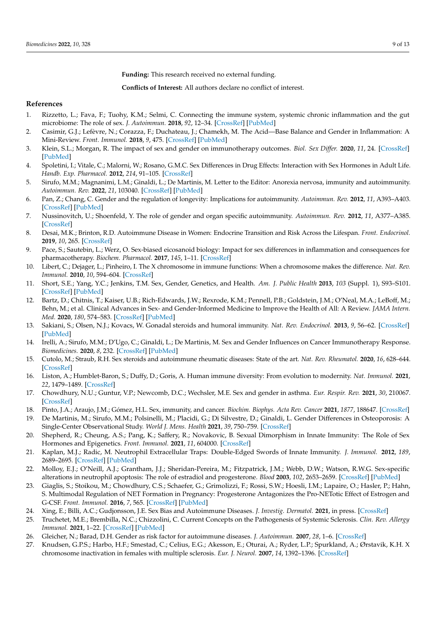**Funding:** This research received no external funding.

**Conflicts of Interest:** All authors declare no conflict of interest.

## **References**

- <span id="page-8-0"></span>1. Rizzetto, L.; Fava, F.; Tuohy, K.M.; Selmi, C. Connecting the immune system, systemic chronic inflammation and the gut microbiome: The role of sex. *J. Autoimmun.* **2018**, *92*, 12–34. [\[CrossRef\]](http://doi.org/10.1016/j.jaut.2018.05.008) [\[PubMed\]](http://www.ncbi.nlm.nih.gov/pubmed/29861127)
- <span id="page-8-1"></span>2. Casimir, G.J.; Lefèvre, N.; Corazza, F.; Duchateau, J.; Chamekh, M. The Acid—Base Balance and Gender in Inflammation: A Mini-Review. *Front. Immunol.* **2018**, *9*, 475. [\[CrossRef\]](http://doi.org/10.3389/fimmu.2018.00475) [\[PubMed\]](http://www.ncbi.nlm.nih.gov/pubmed/29593728)
- <span id="page-8-2"></span>3. Klein, S.L.; Morgan, R. The impact of sex and gender on immunotherapy outcomes. *Biol. Sex Differ.* **2020**, *11*, 24. [\[CrossRef\]](http://doi.org/10.1186/s13293-020-00301-y) [\[PubMed\]](http://www.ncbi.nlm.nih.gov/pubmed/32366281)
- <span id="page-8-3"></span>4. Spoletini, I.; Vitale, C.; Malorni, W.; Rosano, G.M.C. Sex Differences in Drug Effects: Interaction with Sex Hormones in Adult Life. *Handb. Exp. Pharmacol.* **2012**, *214*, 91–105. [\[CrossRef\]](http://doi.org/10.1007/978-3-642-30726-3_5)
- <span id="page-8-4"></span>5. Sirufo, M.M.; Magnanimi, L.M.; Ginaldi, L.; De Martinis, M. Letter to the Editor: Anorexia nervosa, immunity and autoimmunity. *Autoimmun. Rev.* **2022**, *21*, 103040. [\[CrossRef\]](http://doi.org/10.1016/j.autrev.2022.103040) [\[PubMed\]](http://www.ncbi.nlm.nih.gov/pubmed/35016082)
- <span id="page-8-5"></span>6. Pan, Z.; Chang, C. Gender and the regulation of longevity: Implications for autoimmunity. *Autoimmun. Rev.* **2012**, *11*, A393–A403. [\[CrossRef\]](http://doi.org/10.1016/j.autrev.2011.12.004) [\[PubMed\]](http://www.ncbi.nlm.nih.gov/pubmed/22182796)
- 7. Nussinovitch, U.; Shoenfeld, Y. The role of gender and organ specific autoimmunity. *Autoimmun. Rev.* **2012**, *11*, A377–A385. [\[CrossRef\]](http://doi.org/10.1016/j.autrev.2011.11.001)
- 8. Desai, M.K.; Brinton, R.D. Autoimmune Disease in Women: Endocrine Transition and Risk Across the Lifespan. *Front. Endocrinol.* **2019**, *10*, 265. [\[CrossRef\]](http://doi.org/10.3389/fendo.2019.00265)
- <span id="page-8-17"></span>9. Pace, S.; Sautebin, L.; Werz, O. Sex-biased eicosanoid biology: Impact for sex differences in inflammation and consequences for pharmacotherapy. *Biochem. Pharmacol.* **2017**, *145*, 1–11. [\[CrossRef\]](http://doi.org/10.1016/j.bcp.2017.06.128)
- 10. Libert, C.; Dejager, L.; Pinheiro, I. The X chromosome in immune functions: When a chromosome makes the difference. *Nat. Rev. Immunol.* **2010**, *10*, 594–604. [\[CrossRef\]](http://doi.org/10.1038/nri2815)
- 11. Short, S.E.; Yang, Y.C.; Jenkins, T.M. Sex, Gender, Genetics, and Health. *Am. J. Public Health* **2013**, *103* (Suppl. 1), S93–S101. [\[CrossRef\]](http://doi.org/10.2105/AJPH.2013.301229) [\[PubMed\]](http://www.ncbi.nlm.nih.gov/pubmed/23927517)
- <span id="page-8-6"></span>12. Bartz, D.; Chitnis, T.; Kaiser, U.B.; Rich-Edwards, J.W.; Rexrode, K.M.; Pennell, P.B.; Goldstein, J.M.; O'Neal, M.A.; LeBoff, M.; Behn, M.; et al. Clinical Advances in Sex- and Gender-Informed Medicine to Improve the Health of All: A Review. *JAMA Intern. Med.* **2020**, *180*, 574–583. [\[CrossRef\]](http://doi.org/10.1001/jamainternmed.2019.7194) [\[PubMed\]](http://www.ncbi.nlm.nih.gov/pubmed/32040165)
- <span id="page-8-7"></span>13. Sakiani, S.; Olsen, N.J.; Kovacs, W. Gonadal steroids and humoral immunity. *Nat. Rev. Endocrinol.* **2013**, *9*, 56–62. [\[CrossRef\]](http://doi.org/10.1038/nrendo.2012.206) [\[PubMed\]](http://www.ncbi.nlm.nih.gov/pubmed/23183675)
- 14. Irelli, A.; Sirufo, M.M.; D'Ugo, C.; Ginaldi, L.; De Martinis, M. Sex and Gender Influences on Cancer Immunotherapy Response. *Biomedicines.* **2020**, *8*, 232. [\[CrossRef\]](http://doi.org/10.3390/biomedicines8070232) [\[PubMed\]](http://www.ncbi.nlm.nih.gov/pubmed/32708265)
- <span id="page-8-8"></span>15. Cutolo, M.; Straub, R.H. Sex steroids and autoimmune rheumatic diseases: State of the art. *Nat. Rev. Rheumatol.* **2020**, *16*, 628–644. [\[CrossRef\]](http://doi.org/10.1038/s41584-020-0503-4)
- <span id="page-8-9"></span>16. Liston, A.; Humblet-Baron, S.; Duffy, D.; Goris, A. Human immune diversity: From evolution to modernity. *Nat. Immunol.* **2021**, *22*, 1479–1489. [\[CrossRef\]](http://doi.org/10.1038/s41590-021-01058-1)
- 17. Chowdhury, N.U.; Guntur, V.P.; Newcomb, D.C.; Wechsler, M.E. Sex and gender in asthma. *Eur. Respir. Rev.* **2021**, *30*, 210067. [\[CrossRef\]](http://doi.org/10.1183/16000617.0067-2021)
- 18. Pinto, J.A.; Araujo, J.M.; Gómez, H.L. Sex, immunity, and cancer. *Biochim. Biophys. Acta Rev. Cancer* **2021**, *1877*, 188647. [\[CrossRef\]](http://doi.org/10.1016/j.bbcan.2021.188647)
- <span id="page-8-10"></span>19. De Martinis, M.; Sirufo, M.M.; Polsinelli, M.; Placidi, G.; Di Silvestre, D.; Ginaldi, L. Gender Differences in Osteoporosis: A Single-Center Observational Study. *World J. Mens. Health* **2021**, *39*, 750–759. [\[CrossRef\]](http://doi.org/10.5534/wjmh.200099)
- <span id="page-8-11"></span>20. Shepherd, R.; Cheung, A.S.; Pang, K.; Saffery, R.; Novakovic, B. Sexual Dimorphism in Innate Immunity: The Role of Sex Hormones and Epigenetics. *Front. Immunol.* **2021**, *11*, 604000. [\[CrossRef\]](http://doi.org/10.3389/fimmu.2020.604000)
- <span id="page-8-12"></span>21. Kaplan, M.J.; Radic, M. Neutrophil Extracellular Traps: Double-Edged Swords of Innate Immunity. *J. Immunol.* **2012**, *189*, 2689–2695. [\[CrossRef\]](http://doi.org/10.4049/jimmunol.1201719) [\[PubMed\]](http://www.ncbi.nlm.nih.gov/pubmed/22956760)
- <span id="page-8-13"></span>22. Molloy, E.J.; O'Neill, A.J.; Grantham, J.J.; Sheridan-Pereira, M.; Fitzpatrick, J.M.; Webb, D.W.; Watson, R.W.G. Sex-specific alterations in neutrophil apoptosis: The role of estradiol and progesterone. *Blood* **2003**, *102*, 2653–2659. [\[CrossRef\]](http://doi.org/10.1182/blood-2003-02-0649) [\[PubMed\]](http://www.ncbi.nlm.nih.gov/pubmed/12791649)
- <span id="page-8-14"></span>23. Giaglis, S.; Stoikou, M.; Chowdhury, C.S.; Schaefer, G.; Grimolizzi, F.; Rossi, S.W.; Hoesli, I.M.; Lapaire, O.; Hasler, P.; Hahn, S. Multimodal Regulation of NET Formation in Pregnancy: Progesterone Antagonizes the Pro-NETotic Effect of Estrogen and G-CSF. *Front. Immunol.* **2016**, *7*, 565. [\[CrossRef\]](http://doi.org/10.3389/fimmu.2016.00565) [\[PubMed\]](http://www.ncbi.nlm.nih.gov/pubmed/27994595)
- <span id="page-8-15"></span>24. Xing, E.; Billi, A.C.; Gudjonsson, J.E. Sex Bias and Autoimmune Diseases. *J. Investig. Dermatol.* **2021**, in press. [\[CrossRef\]](http://doi.org/10.1016/j.jid.2021.06.008)
- <span id="page-8-16"></span>25. Truchetet, M.E.; Brembilla, N.C.; Chizzolini, C. Current Concepts on the Pathogenesis of Systemic Sclerosis. *Clin. Rev. Allergy Immunol.* **2021**, 1–22. [\[CrossRef\]](http://doi.org/10.1007/s12016-021-08889-8) [\[PubMed\]](http://www.ncbi.nlm.nih.gov/pubmed/34487318)
- 26. Gleicher, N.; Barad, D.H. Gender as risk factor for autoimmune diseases. *J. Autoimmun.* **2007**, *28*, 1–6. [\[CrossRef\]](http://doi.org/10.1016/j.jaut.2006.12.004)
- 27. Knudsen, G.P.S.; Harbo, H.F.; Smestad, C.; Celius, E.G.; Akesson, E.; Oturai, A.; Ryder, L.P.; Spurkland, A.; Ørstavik, K.H. X chromosome inactivation in females with multiple sclerosis. *Eur. J. Neurol.* **2007**, *14*, 1392–1396. [\[CrossRef\]](http://doi.org/10.1111/j.1468-1331.2007.01987.x)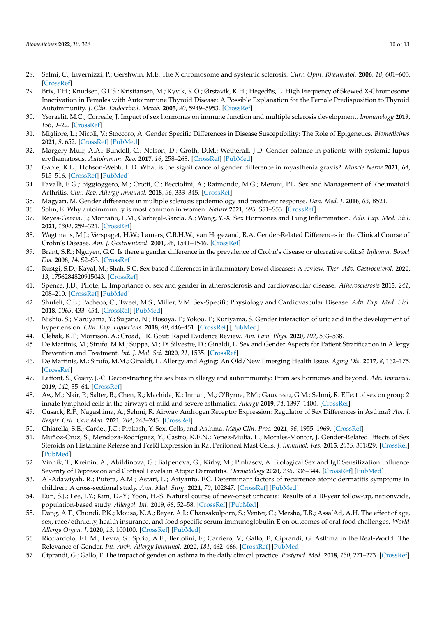- 28. Selmi, C.; Invernizzi, P.; Gershwin, M.E. The X chromosome and systemic sclerosis. *Curr. Opin. Rheumatol.* **2006**, *18*, 601–605. [\[CrossRef\]](http://doi.org/10.1097/01.bor.0000245718.56770.a4)
- 29. Brix, T.H.; Knudsen, G.P.S.; Kristiansen, M.; Kyvik, K.O.; Ørstavik, K.H.; Hegedüs, L. High Frequency of Skewed X-Chromosome Inactivation in Females with Autoimmune Thyroid Disease: A Possible Explanation for the Female Predisposition to Thyroid Autoimmunity. *J. Clin. Endocrinol. Metab.* **2005**, *90*, 5949–5953. [\[CrossRef\]](http://doi.org/10.1210/jc.2005-1366)
- <span id="page-9-0"></span>30. Ysrraelit, M.C.; Correale, J. Impact of sex hormones on immune function and multiple sclerosis development. *Immunology* **2019**, *156*, 9–22. [\[CrossRef\]](http://doi.org/10.1111/imm.13004)
- <span id="page-9-1"></span>31. Migliore, L.; Nicolì, V.; Stoccoro, A. Gender Specific Differences in Disease Susceptibility: The Role of Epigenetics. *Biomedicines* **2021**, *9*, 652. [\[CrossRef\]](http://doi.org/10.3390/biomedicines9060652) [\[PubMed\]](http://www.ncbi.nlm.nih.gov/pubmed/34200989)
- <span id="page-9-2"></span>32. Margery-Muir, A.A.; Bundell, C.; Nelson, D.; Groth, D.M.; Wetherall, J.D. Gender balance in patients with systemic lupus erythematosus. *Autoimmun. Rev.* **2017**, *16*, 258–268. [\[CrossRef\]](http://doi.org/10.1016/j.autrev.2017.01.007) [\[PubMed\]](http://www.ncbi.nlm.nih.gov/pubmed/28137478)
- <span id="page-9-3"></span>33. Gable, K.L.; Hobson-Webb, L.D. What is the significance of gender difference in myasthenia gravis? *Muscle Nerve* **2021**, *64*, 515–516. [\[CrossRef\]](http://doi.org/10.1002/mus.27397) [\[PubMed\]](http://www.ncbi.nlm.nih.gov/pubmed/34383342)
- <span id="page-9-20"></span>34. Favalli, E.G.; Biggioggero, M.; Crotti, C.; Becciolini, A.; Raimondo, M.G.; Meroni, P.L. Sex and Management of Rheumatoid Arthritis. *Clin. Rev. Allergy Immunol.* **2018**, *56*, 333–345. [\[CrossRef\]](http://doi.org/10.1007/s12016-018-8672-5)
- 35. Magyari, M. Gender differences in multiple sclerosis epidemiology and treatment response. *Dan. Med. J.* **2016**, *63*, B521.
- 36. Sohn, E. Why autoimmunity is most common in women. *Nature* **2021**, *595*, S51–S53. [\[CrossRef\]](http://doi.org/10.1038/d41586-021-01836-9)
- <span id="page-9-4"></span>37. Reyes-García, J.; Montaño, L.M.; Carbajal-García, A.; Wang, Y.-X. Sex Hormones and Lung Inflammation. *Adv. Exp. Med. Biol.* **2021**, *1304*, 259–321. [\[CrossRef\]](http://doi.org/10.1007/978-3-030-68748-9_15)
- <span id="page-9-5"></span>38. Wagtmans, M.J.; Verspaget, H.W.; Lamers, C.B.H.W.; van Hogezand, R.A. Gender-Related Differences in the Clinical Course of Crohn's Disease. *Am. J. Gastroenterol.* **2001**, *96*, 1541–1546. [\[CrossRef\]](http://doi.org/10.1111/j.1572-0241.2001.03755.x)
- 39. Brant, S.R.; Nguyen, G.C. Is there a gender difference in the prevalence of Crohn's disease or ulcerative colitis? *Inflamm. Bowel Dis.* **2008**, *14*, S2–S3. [\[CrossRef\]](http://doi.org/10.1097/00054725-200810001-00002)
- <span id="page-9-6"></span>40. Rustgi, S.D.; Kayal, M.; Shah, S.C. Sex-based differences in inflammatory bowel diseases: A review. *Ther. Adv. Gastroenterol.* **2020**, *13*, 1756284820915043. [\[CrossRef\]](http://doi.org/10.1177/1756284820915043)
- <span id="page-9-7"></span>41. Spence, J.D.; Pilote, L. Importance of sex and gender in atherosclerosis and cardiovascular disease. *Atherosclerosis* **2015**, *241*, 208–210. [\[CrossRef\]](http://doi.org/10.1016/j.atherosclerosis.2015.04.806) [\[PubMed\]](http://www.ncbi.nlm.nih.gov/pubmed/25980844)
- <span id="page-9-8"></span>42. Shufelt, C.L.; Pacheco, C.; Tweet, M.S.; Miller, V.M. Sex-Specific Physiology and Cardiovascular Disease. *Adv. Exp. Med. Biol.* **2018**, *1065*, 433–454. [\[CrossRef\]](http://doi.org/10.1007/978-3-319-77932-4_27) [\[PubMed\]](http://www.ncbi.nlm.nih.gov/pubmed/30051400)
- <span id="page-9-9"></span>43. Nishio, S.; Maruyama, Y.; Sugano, N.; Hosoya, T.; Yokoo, T.; Kuriyama, S. Gender interaction of uric acid in the development of hypertension. *Clin. Exp. Hypertens.* **2018**, *40*, 446–451. [\[CrossRef\]](http://doi.org/10.1080/10641963.2017.1392556) [\[PubMed\]](http://www.ncbi.nlm.nih.gov/pubmed/29182449)
- <span id="page-9-10"></span>44. Clebak, K.T.; Morrison, A.; Croad, J.R. Gout: Rapid Evidence Review. *Am. Fam. Phys.* **2020**, *102*, 533–538.
- <span id="page-9-11"></span>45. De Martinis, M.; Sirufo, M.M.; Suppa, M.; Di Silvestre, D.; Ginaldi, L. Sex and Gender Aspects for Patient Stratification in Allergy Prevention and Treatment. *Int. J. Mol. Sci.* **2020**, *21*, 1535. [\[CrossRef\]](http://doi.org/10.3390/ijms21041535)
- 46. De Martinis, M.; Sirufo, M.M.; Ginaldi, L. Allergy and Aging: An Old/New Emerging Health Issue. *Aging Dis.* **2017**, *8*, 162–175. [\[CrossRef\]](http://doi.org/10.14336/AD.2016.0831)
- 47. Laffont, S.; Guéry, J.-C. Deconstructing the sex bias in allergy and autoimmunity: From sex hormones and beyond. *Adv. Immunol.* **2019**, *142*, 35–64. [\[CrossRef\]](http://doi.org/10.1016/bs.ai.2019.04.001)
- 48. Aw, M.; Nair, P.; Salter, B.; Chen, R.; Machida, K.; Inman, M.; O'Byrne, P.M.; Gauvreau, G.M.; Sehmi, R. Effect of sex on group 2 innate lymphoid cells in the airways of mild and severe asthmatics. *Allergy* **2019**, *74*, 1397–1400. [\[CrossRef\]](http://doi.org/10.1111/all.13742)
- 49. Cusack, R.P.; Nagashima, A.; Sehmi, R. Airway Androgen Receptor Expression: Regulator of Sex Differences in Asthma? *Am. J. Respir. Crit. Care Med.* **2021**, *204*, 243–245. [\[CrossRef\]](http://doi.org/10.1164/rccm.202104-0869ED)
- <span id="page-9-12"></span>50. Chiarella, S.E.; Cardet, J.C.; Prakash, Y. Sex, Cells, and Asthma. *Mayo Clin. Proc.* **2021**, *96*, 1955–1969. [\[CrossRef\]](http://doi.org/10.1016/j.mayocp.2020.12.007)
- <span id="page-9-13"></span>51. Muñoz-Cruz, S.; Mendoza-Rodríguez, Y.; Castro, K.E.N.; Yepez-Mulia, L.; Morales-Montor, J. Gender-Related Effects of Sex Steroids on Histamine Release and FcεRI Expression in Rat Peritoneal Mast Cells. *J. Immunol. Res.* **2015**, *2015*, 351829. [\[CrossRef\]](http://doi.org/10.1155/2015/351829) [\[PubMed\]](http://www.ncbi.nlm.nih.gov/pubmed/25973435)
- <span id="page-9-14"></span>52. Vinnik, T.; Kreinin, A.; Abildinova, G.; Batpenova, G.; Kirby, M.; Pinhasov, A. Biological Sex and IgE Sensitization Influence Severity of Depression and Cortisol Levels in Atopic Dermatitis. *Dermatology* **2020**, *236*, 336–344. [\[CrossRef\]](http://doi.org/10.1159/000504388) [\[PubMed\]](http://www.ncbi.nlm.nih.gov/pubmed/31914445)
- <span id="page-9-15"></span>53. Al-Adawiyah, R.; Putera, A.M.; Astari, L.; Ariyanto, F.C. Determinant factors of recurrence atopic dermatitis symptoms in children: A cross-sectional study. *Ann. Med. Surg.* **2021**, *70*, 102847. [\[CrossRef\]](http://doi.org/10.1016/j.amsu.2021.102847) [\[PubMed\]](http://www.ncbi.nlm.nih.gov/pubmed/34603716)
- <span id="page-9-16"></span>54. Eun, S.J.; Lee, J.Y.; Kim, D.-Y.; Yoon, H.-S. Natural course of new-onset urticaria: Results of a 10-year follow-up, nationwide, population-based study. *Allergol. Int.* **2019**, *68*, 52–58. [\[CrossRef\]](http://doi.org/10.1016/j.alit.2018.05.011) [\[PubMed\]](http://www.ncbi.nlm.nih.gov/pubmed/29945815)
- <span id="page-9-17"></span>55. Dang, A.T.; Chundi, P.K.; Mousa, N.A.; Beyer, A.I.; Chansakulporn, S.; Venter, C.; Mersha, T.B.; Assa'Ad, A.H. The effect of age, sex, race/ethnicity, health insurance, and food specific serum immunoglobulin E on outcomes of oral food challenges. *World Allergy Organ. J.* **2020**, *13*, 100100. [\[CrossRef\]](http://doi.org/10.1016/j.waojou.2020.100100) [\[PubMed\]](http://www.ncbi.nlm.nih.gov/pubmed/32099590)
- <span id="page-9-18"></span>56. Ricciardolo, F.L.M.; Levra, S.; Sprio, A.E.; Bertolini, F.; Carriero, V.; Gallo, F.; Ciprandi, G. Asthma in the Real-World: The Relevance of Gender. *Int. Arch. Allergy Immunol.* **2020**, *181*, 462–466. [\[CrossRef\]](http://doi.org/10.1159/000506808) [\[PubMed\]](http://www.ncbi.nlm.nih.gov/pubmed/32203959)
- <span id="page-9-19"></span>57. Ciprandi, G.; Gallo, F. The impact of gender on asthma in the daily clinical practice. *Postgrad. Med.* **2018**, *130*, 271–273. [\[CrossRef\]](http://doi.org/10.1080/00325481.2018.1430447)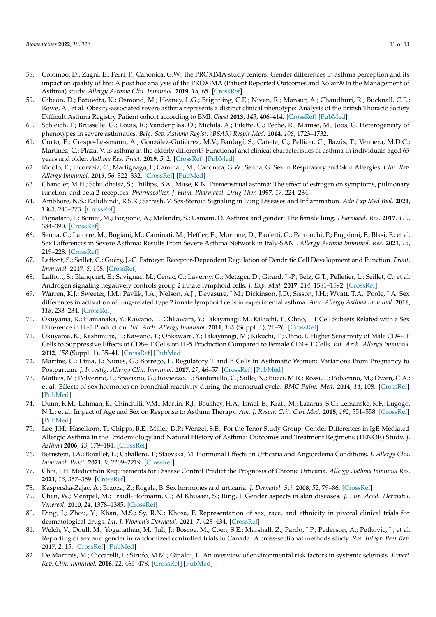- <span id="page-10-0"></span>58. Colombo, D.; Zagni, E.; Ferri, F.; Canonica, G.W.; the PROXIMA study centers. Gender differences in asthma perception and its impact on quality of life: A post hoc analysis of the PROXIMA (Patient Reported Outcomes and Xolair*®* In the Management of Asthma) study. *Allergy Asthma Clin. Immunol.* **2019**, *15*, 65. [\[CrossRef\]](http://doi.org/10.1186/s13223-019-0380-z)
- <span id="page-10-1"></span>59. Gibeon, D.; Batuwita, K.; Osmond, M.; Heaney, L.G.; Brightling, C.E.; Niven, R.; Mansur, A.; Chaudhuri, R.; Bucknall, C.E.; Rowe, A.; et al. Obesity-associated severe asthma represents a distinct clinical phenotype: Analysis of the British Thoracic Society Difficult Asthma Registry Patient cohort according to BMI. *Chest* **2013**, *143*, 406–414. [\[CrossRef\]](http://doi.org/10.1378/chest.12-0872) [\[PubMed\]](http://www.ncbi.nlm.nih.gov/pubmed/23064546)
- <span id="page-10-2"></span>60. Schleich, F.; Brusselle, G.; Louis, R.; Vandenplas, O.; Michils, A.; Pilette, C.; Peche, R.; Manise, M.; Joos, G. Heterogeneity of phenotypes in severe asthmatics. *Belg. Sev. Asthma Regist. (BSAR) Respir Med.* **2014**, *108*, 1723–1732.
- <span id="page-10-3"></span>61. Curto, E.; Crespo-Lessmann, A.; González-Gutiérrez, M.V.; Bardagí, S.; Cañete, C.; Pellicer, C.; Bazús, T.; Vennera, M.D.C.; Martínez, C.; Plaza, V. Is asthma in the elderly different? Functional and clinical characteristics of asthma in individuals aged 65 years and older. *Asthma Res. Pract.* **2019**, *5*, 2. [\[CrossRef\]](http://doi.org/10.1186/s40733-019-0049-x) [\[PubMed\]](http://www.ncbi.nlm.nih.gov/pubmed/30937177)
- <span id="page-10-4"></span>62. Ridolo, E.; Incorvaia, C.; Martignago, I.; Caminati, M.; Canonica, G.W.; Senna, G. Sex in Respiratory and Skin Allergies. *Clin. Rev. Allergy Immunol.* **2019**, *56*, 322–332. [\[CrossRef\]](http://doi.org/10.1007/s12016-017-8661-0) [\[PubMed\]](http://www.ncbi.nlm.nih.gov/pubmed/29306980)
- <span id="page-10-5"></span>63. Chandler, M.H.; Schuldheisz, S.; Phillips, B.A.; Muse, K.N. Premenstrual asthma: The effect of estrogen on symptoms, pulmonary function, and beta 2-receptors. *Pharmacother. J. Hum. Pharmacol. Drug Ther.* **1997**, *17*, 224–234.
- <span id="page-10-6"></span>64. Ambhore, N.S.; Kalidhindi, R.S.R.; Sathish, V. Sex-Steroid Signaling in Lung Diseases and Inflammation. *Adv Exp Med Biol.* **2021**, *1303*, 243–273. [\[CrossRef\]](http://doi.org/10.1007/978-3-030-63046-1_14)
- <span id="page-10-7"></span>65. Pignataro, F.; Bonini, M.; Forgione, A.; Melandri, S.; Usmani, O. Asthma and gender: The female lung. *Pharmacol. Res.* **2017**, *119*, 384–390. [\[CrossRef\]](http://doi.org/10.1016/j.phrs.2017.02.017)
- <span id="page-10-8"></span>66. Senna, G.; Latorre, M.; Bugiani, M.; Caminati, M.; Heffler, E.; Morrone, D.; Paoletti, G.; Parronchi, P.; Puggioni, F.; Blasi, F.; et al. Sex Differences in Severe Asthma: Results From Severe Asthma Network in Italy-SANI. *Allergy Asthma Immunol. Res.* **2021**, *13*, 219–228. [\[CrossRef\]](http://doi.org/10.4168/aair.2021.13.2.219)
- <span id="page-10-9"></span>67. Laffont, S.; Seillet, C.; Guéry, J.-C. Estrogen Receptor-Dependent Regulation of Dendritic Cell Development and Function. *Front. Immunol.* **2017**, *8*, 108. [\[CrossRef\]](http://doi.org/10.3389/fimmu.2017.00108)
- 68. Laffont, S.; Blanquart, E.; Savignac, M.; Cénac, C.; Laverny, G.; Metzger, D.; Girard, J.-P.; Belz, G.T.; Pelletier, L.; Seillet, C.; et al. Androgen signaling negatively controls group 2 innate lymphoid cells. *J. Exp. Med.* **2017**, *214*, 1581–1592. [\[CrossRef\]](http://doi.org/10.1084/jem.20161807)
- 69. Warren, K.J.; Sweeter, J.M.; Pavlik, J.A.; Nelson, A.J.; Devasure, J.M.; Dickinson, J.D.; Sisson, J.H.; Wyatt, T.A.; Poole, J.A. Sex differences in activation of lung-related type 2 innate lymphoid cells in experimental asthma. *Ann. Allergy Asthma Immunol.* **2016**, *118*, 233–234. [\[CrossRef\]](http://doi.org/10.1016/j.anai.2016.11.011)
- 70. Okuyama, K.; Hamanaka, Y.; Kawano, T.; Ohkawara, Y.; Takayanagi, M.; Kikuchi, T.; Ohno, I. T Cell Subsets Related with a Sex Difference in IL-5 Production. *Int. Arch. Allergy Immunol.* **2011**, *155* (Suppl. 1), 21–26. [\[CrossRef\]](http://doi.org/10.1159/000327261)
- 71. Okuyama, K.; Kashimura, T.; Kawano, T.; Ohkawara, Y.; Takayanagi, M.; Kikuchi, T.; Ohno, I. Higher Sensitivity of Male CD4+ T Cells to Suppressive Effects of CD8+ T Cells on IL-5 Production Compared to Female CD4+ T Cells. *Int. Arch. Allergy Immunol.* **2012**, *158* (Suppl. 1), 35–41. [\[CrossRef\]](http://doi.org/10.1159/000337759) [\[PubMed\]](http://www.ncbi.nlm.nih.gov/pubmed/22627364)
- <span id="page-10-10"></span>72. Martins, C.; Lima, J.; Nunes, G.; Borrego, L. Regulatory T and B Cells in Asthmatic Women: Variations From Pregnancy to Postpartum. *J. Investig. Allergy Clin. Immunol.* **2017**, *27*, 46–57. [\[CrossRef\]](http://doi.org/10.18176/jiaci.0086) [\[PubMed\]](http://www.ncbi.nlm.nih.gov/pubmed/28211345)
- <span id="page-10-11"></span>73. Matteis, M.; Polverino, F.; Spaziano, G.; Roviezzo, F.; Santoriello, C.; Sullo, N.; Bucci, M.R.; Rossi, F.; Polverino, M.; Owen, C.A.; et al. Effects of sex hormones on bronchial reactivity during the menstrual cycle. *BMC Pulm. Med.* **2014**, *14*, 108. [\[CrossRef\]](http://doi.org/10.1186/1471-2466-14-108) [\[PubMed\]](http://www.ncbi.nlm.nih.gov/pubmed/24984749)
- <span id="page-10-12"></span>74. Dunn, R.M.; Lehman, E.; Chinchilli, V.M.; Martin, R.J.; Boushey, H.A.; Israel, E.; Kraft, M.; Lazarus, S.C.; Lemanske, R.F.; Lugogo, N.L.; et al. Impact of Age and Sex on Response to Asthma Therapy. *Am. J. Respir. Crit. Care Med.* **2015**, *192*, 551–558. [\[CrossRef\]](http://doi.org/10.1164/rccm.201503-0426OC) [\[PubMed\]](http://www.ncbi.nlm.nih.gov/pubmed/26068329)
- <span id="page-10-13"></span>75. Lee, J.H.; Haselkorn, T.; Chipps, B.E.; Miller, D.P.; Wenzel, S.E.; For the Tenor Study Group. Gender Differences in IgE-Mediated Allergic Asthma in the Epidemiology and Natural History of Asthma: Outcomes and Treatment Regimens (TENOR) Study. *J. Asthma* **2006**, *43*, 179–184. [\[CrossRef\]](http://doi.org/10.1080/02770900600566405)
- <span id="page-10-14"></span>76. Bernstein, J.A.; Bouillet, L.; Caballero, T.; Staevska, M. Hormonal Effects on Urticaria and Angioedema Conditions. *J. Allergy Clin. Immunol. Pract.* **2021**, *9*, 2209–2219. [\[CrossRef\]](http://doi.org/10.1016/j.jaip.2021.04.021)
- <span id="page-10-15"></span>77. Choi, J.H. Medication Requirements for Disease Control Predict the Prognosis of Chronic Urticaria. *Allergy Asthma Immunol Res.* **2021**, *13*, 357–359. [\[CrossRef\]](http://doi.org/10.4168/aair.2021.13.3.357)
- <span id="page-10-16"></span>78. Kasperska-Zajac, A.; Brzoza, Z.; Rogala, B. Sex hormones and urticaria. *J. Dermatol. Sci.* **2008**, *52*, 79–86. [\[CrossRef\]](http://doi.org/10.1016/j.jdermsci.2008.04.002)
- <span id="page-10-17"></span>79. Chen, W.; Mempel, M.; Traidl-Hofmann, C.; Al Khusaei, S.; Ring, J. Gender aspects in skin diseases. *J. Eur. Acad. Dermatol. Venereol.* **2010**, *24*, 1378–1385. [\[CrossRef\]](http://doi.org/10.1111/j.1468-3083.2010.03668.x)
- <span id="page-10-18"></span>80. Ding, J.; Zhou, Y.; Khan, M.S.; Sy, R.N.; Khosa, F. Representation of sex, race, and ethnicity in pivotal clinical trials for dermatological drugs. *Int. J. Women's Dermatol.* **2021**, *7*, 428–434. [\[CrossRef\]](http://doi.org/10.1016/j.ijwd.2021.02.007)
- <span id="page-10-19"></span>81. Welch, V.; Doull, M.; Yoganathan, M.; Jull, J.; Boscoe, M.; Coen, S.E.; Marshall, Z.; Pardo, J.P.; Pederson, A.; Petkovic, J.; et al. Reporting of sex and gender in randomized controlled trials in Canada: A cross-sectional methods study. *Res. Integr. Peer Rev.* **2017**, *2*, 15. [\[CrossRef\]](http://doi.org/10.1186/s41073-017-0039-6) [\[PubMed\]](http://www.ncbi.nlm.nih.gov/pubmed/29451565)
- <span id="page-10-20"></span>82. De Martinis, M.; Ciccarelli, F.; Sirufo, M.M.; Ginaldi, L. An overview of environmental risk factors in systemic sclerosis. *Expert Rev. Clin. Immunol.* **2016**, *12*, 465–478. [\[CrossRef\]](http://doi.org/10.1586/1744666X.2016.1125782) [\[PubMed\]](http://www.ncbi.nlm.nih.gov/pubmed/26610037)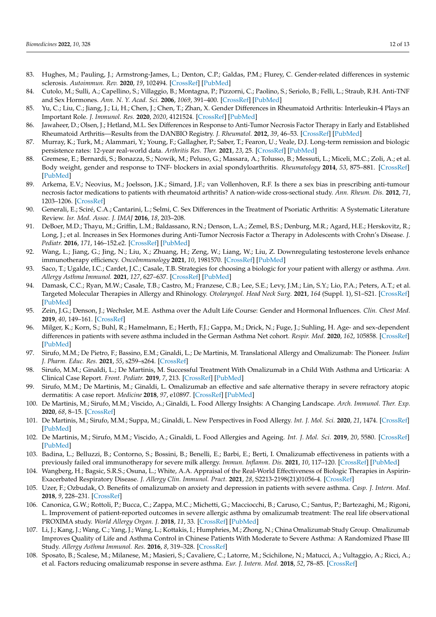- <span id="page-11-0"></span>83. Hughes, M.; Pauling, J.; Armstrong-James, L.; Denton, C.P.; Galdas, P.M.; Flurey, C. Gender-related differences in systemic sclerosis. *Autoimmun. Rev.* **2020**, *19*, 102494. [\[CrossRef\]](http://doi.org/10.1016/j.autrev.2020.102494) [\[PubMed\]](http://www.ncbi.nlm.nih.gov/pubmed/32062031)
- <span id="page-11-1"></span>84. Cutolo, M.; Sulli, A.; Capellino, S.; Villaggio, B.; Montagna, P.; Pizzorni, C.; Paolino, S.; Seriolo, B.; Felli, L.; Straub, R.H. Anti-TNF and Sex Hormones. *Ann. N. Y. Acad. Sci.* **2006**, *1069*, 391–400. [\[CrossRef\]](http://doi.org/10.1196/annals.1351.037) [\[PubMed\]](http://www.ncbi.nlm.nih.gov/pubmed/16855166)
- <span id="page-11-2"></span>85. Yu, C.; Liu, C.; Jiang, J.; Li, H.; Chen, J.; Chen, T.; Zhan, X. Gender Differences in Rheumatoid Arthritis: Interleukin-4 Plays an Important Role. *J. Immunol. Res.* **2020**, *2020*, 4121524. [\[CrossRef\]](http://doi.org/10.1155/2020/4121524) [\[PubMed\]](http://www.ncbi.nlm.nih.gov/pubmed/33426089)
- <span id="page-11-3"></span>86. Jawaheer, D.; Olsen, J.; Hetland, M.L. Sex Differences in Response to Anti-Tumor Necrosis Factor Therapy in Early and Established Rheumatoid Arthritis—Results from the DANBIO Registry. *J. Rheumatol.* **2012**, *39*, 46–53. [\[CrossRef\]](http://doi.org/10.3899/jrheum.110548) [\[PubMed\]](http://www.ncbi.nlm.nih.gov/pubmed/22089458)
- <span id="page-11-4"></span>87. Murray, K.; Turk, M.; Alammari, Y.; Young, F.; Gallagher, P.; Saber, T.; Fearon, U.; Veale, D.J. Long-term remission and biologic persistence rates: 12-year real-world data. *Arthritis Res. Ther.* **2021**, *23*, 25. [\[CrossRef\]](http://doi.org/10.1186/s13075-020-02380-z) [\[PubMed\]](http://www.ncbi.nlm.nih.gov/pubmed/33441191)
- <span id="page-11-5"></span>88. Gremese, E.; Bernardi, S.; Bonazza, S.; Nowik, M.; Peluso, G.; Massara, A.; Tolusso, B.; Messuti, L.; Miceli, M.C.; Zoli, A.; et al. Body weight, gender and response to TNF- blockers in axial spondyloarthritis. *Rheumatology* **2014**, *53*, 875–881. [\[CrossRef\]](http://doi.org/10.1093/rheumatology/ket433) [\[PubMed\]](http://www.ncbi.nlm.nih.gov/pubmed/24407233)
- <span id="page-11-6"></span>89. Arkema, E.V.; Neovius, M.; Joelsson, J.K.; Simard, J.F.; van Vollenhoven, R.F. Is there a sex bias in prescribing anti-tumour necrosis factor medications to patients with rheumatoid arthritis? A nation-wide cross-sectional study. *Ann. Rheum. Dis.* **2012**, *71*, 1203–1206. [\[CrossRef\]](http://doi.org/10.1136/annrheumdis-2011-200947)
- <span id="page-11-7"></span>90. Generali, E.; Sciré, C.A.; Cantarini, L.; Selmi, C. Sex Differences in the Treatment of Psoriatic Arthritis: A Systematic Literature Review. *Isr. Med. Assoc. J. IMAJ* **2016**, *18*, 203–208.
- <span id="page-11-8"></span>91. DeBoer, M.D.; Thayu, M.; Griffin, L.M.; Baldassano, R.N.; Denson, L.A.; Zemel, B.S.; Denburg, M.R.; Agard, H.E.; Herskovitz, R.; Long, J.; et al. Increases in Sex Hormones during Anti-Tumor Necrosis Factor α Therapy in Adolescents with Crohn's Disease. *J. Pediatr.* **2016**, *171*, 146–152.e2. [\[CrossRef\]](http://doi.org/10.1016/j.jpeds.2016.01.003) [\[PubMed\]](http://www.ncbi.nlm.nih.gov/pubmed/26873656)
- <span id="page-11-9"></span>92. Wang, L.; Jiang, G.; Jing, N.; Liu, X.; Zhuang, H.; Zeng, W.; Liang, W.; Liu, Z. Downregulating testosterone levels enhance immunotherapy efficiency. *OncoImmunology* **2021**, *10*, 1981570. [\[CrossRef\]](http://doi.org/10.1080/2162402X.2021.1981570) [\[PubMed\]](http://www.ncbi.nlm.nih.gov/pubmed/34595060)
- <span id="page-11-10"></span>93. Saco, T.; Ugalde, I.C.; Cardet, J.C.; Casale, T.B. Strategies for choosing a biologic for your patient with allergy or asthma. *Ann. Allergy Asthma Immunol.* **2021**, *127*, 627–637. [\[CrossRef\]](http://doi.org/10.1016/j.anai.2021.09.009) [\[PubMed\]](http://www.ncbi.nlm.nih.gov/pubmed/34642091)
- <span id="page-11-11"></span>94. Damask, C.C.; Ryan, M.W.; Casale, T.B.; Castro, M.; Franzese, C.B.; Lee, S.E.; Levy, J.M.; Lin, S.Y.; Lio, P.A.; Peters, A.T.; et al. Targeted Molecular Therapies in Allergy and Rhinology. *Otolaryngol. Head Neck Surg.* **2021**, *164* (Suppl. 1), S1–S21. [\[CrossRef\]](http://doi.org/10.1177/0194599820965233) [\[PubMed\]](http://www.ncbi.nlm.nih.gov/pubmed/33138725)
- <span id="page-11-12"></span>95. Zein, J.G.; Denson, J.; Wechsler, M.E. Asthma over the Adult Life Course: Gender and Hormonal Influences. *Clin. Chest Med.* **2019**, *40*, 149–161. [\[CrossRef\]](http://doi.org/10.1016/j.ccm.2018.10.009)
- <span id="page-11-13"></span>96. Milger, K.; Korn, S.; Buhl, R.; Hamelmann, E.; Herth, F.J.; Gappa, M.; Drick, N.; Fuge, J.; Suhling, H. Age- and sex-dependent differences in patients with severe asthma included in the German Asthma Net cohort. *Respir. Med.* **2020**, *162*, 105858. [\[CrossRef\]](http://doi.org/10.1016/j.rmed.2019.105858) [\[PubMed\]](http://www.ncbi.nlm.nih.gov/pubmed/31916535)
- <span id="page-11-17"></span>97. Sirufo, M.M.; De Pietro, F.; Bassino, E.M.; Ginaldi, L.; De Martinis, M. Translational Allergy and Omalizumab: The Pioneer. *Indian J. Pharm. Educ. Res.* **2021**, *55*, s259–s264. [\[CrossRef\]](http://doi.org/10.5530/ijper.55.1s.58)
- <span id="page-11-14"></span>98. Sirufo, M.M.; Ginaldi, L.; De Martinis, M. Successful Treatment With Omalizumab in a Child With Asthma and Urticaria: A Clinical Case Report. *Front. Pediatr.* **2019**, *7*, 213. [\[CrossRef\]](http://doi.org/10.3389/fped.2019.00213) [\[PubMed\]](http://www.ncbi.nlm.nih.gov/pubmed/31275903)
- <span id="page-11-15"></span>99. Sirufo, M.M.; De Martinis, M.; Ginaldi, L. Omalizumab an effective and safe alternative therapy in severe refractory atopic dermatitis: A case report. *Medicine* **2018**, *97*, e10897. [\[CrossRef\]](http://doi.org/10.1097/MD.0000000000010897) [\[PubMed\]](http://www.ncbi.nlm.nih.gov/pubmed/29901580)
- <span id="page-11-18"></span>100. De Martinis, M.; Sirufo, M.M.; Viscido, A.; Ginaldi, L. Food Allergy Insights: A Changing Landscape. *Arch. Immunol. Ther. Exp.* **2020**, *68*, 8–15. [\[CrossRef\]](http://doi.org/10.1007/s00005-020-00574-6)
- <span id="page-11-19"></span>101. De Martinis, M.; Sirufo, M.M.; Suppa, M.; Ginaldi, L. New Perspectives in Food Allergy. *Int. J. Mol. Sci.* **2020**, *21*, 1474. [\[CrossRef\]](http://doi.org/10.3390/ijms21041474) [\[PubMed\]](http://www.ncbi.nlm.nih.gov/pubmed/32098244)
- <span id="page-11-20"></span>102. De Martinis, M.; Sirufo, M.M.; Viscido, A.; Ginaldi, L. Food Allergies and Ageing. *Int. J. Mol. Sci.* **2019**, *20*, 5580. [\[CrossRef\]](http://doi.org/10.3390/ijms20225580) [\[PubMed\]](http://www.ncbi.nlm.nih.gov/pubmed/31717303)
- <span id="page-11-21"></span>103. Badina, L.; Belluzzi, B.; Contorno, S.; Bossini, B.; Benelli, E.; Barbi, E.; Berti, I. Omalizumab effectiveness in patients with a previously failed oral immunotherapy for severe milk allergy. *Immun. Inflamm. Dis.* **2021**, *10*, 117–120. [\[CrossRef\]](http://doi.org/10.1002/iid3.542) [\[PubMed\]](http://www.ncbi.nlm.nih.gov/pubmed/34623772)
- <span id="page-11-16"></span>104. Wangberg, H.; Bagsic, S.R.S.; Osuna, L.; White, A.A. Appraisal of the Real-World Effectiveness of Biologic Therapies in Aspirin-Exacerbated Respiratory Disease. *J. Allergy Clin. Immunol. Pract.* **2021**, *28*, S2213-2198(21)01056-4. [\[CrossRef\]](http://doi.org/10.1016/j.jaip.2021.09.030)
- <span id="page-11-22"></span>105. Uzer, F.; Ozbudak, O. Benefits of omalizumab on anxiety and depression in patients with severe asthma. *Casp. J. Intern. Med.* **2018**, *9*, 228–231. [\[CrossRef\]](http://doi.org/10.22088/CJIM.9.3.228)
- <span id="page-11-23"></span>106. Canonica, G.W.; Rottoli, P.; Bucca, C.; Zappa, M.C.; Michetti, G.; Macciocchi, B.; Caruso, C.; Santus, P.; Bartezaghi, M.; Rigoni, L. Improvement of patient-reported outcomes in severe allergic asthma by omalizumab treatment: The real life observational PROXIMA study. *World Allergy Organ. J.* **2018**, *11*, 33. [\[CrossRef\]](http://doi.org/10.1186/s40413-018-0214-3) [\[PubMed\]](http://www.ncbi.nlm.nih.gov/pubmed/30410639)
- <span id="page-11-24"></span>107. Li, J.; Kang, J.; Wang, C.; Yang, J.; Wang, L.; Kottakis, I.; Humphries, M.; Zhong, N.; China Omalizumab Study Group. Omalizumab Improves Quality of Life and Asthma Control in Chinese Patients With Moderate to Severe Asthma: A Randomized Phase III Study. *Allergy Asthma Immunol. Res.* **2016**, *8*, 319–328. [\[CrossRef\]](http://doi.org/10.4168/aair.2016.8.4.319)
- <span id="page-11-25"></span>108. Sposato, B.; Scalese, M.; Milanese, M.; Masieri, S.; Cavaliere, C.; Latorre, M.; Scichilone, N.; Matucci, A.; Vultaggio, A.; Ricci, A.; et al. Factors reducing omalizumab response in severe asthma. *Eur. J. Intern. Med.* **2018**, *52*, 78–85. [\[CrossRef\]](http://doi.org/10.1016/j.ejim.2018.01.026)